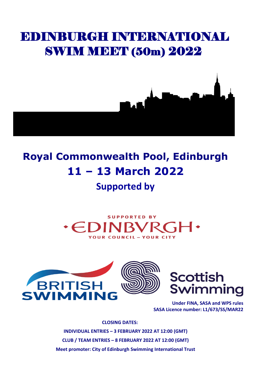# EDINBURGH INTERNATIONAL SWIM MEET (50m) 2022



# **Royal Commonwealth Pool, Edinburgh 11 – 13 March 2022**

# **Supported by**







**Under FINA, SASA and WPS rules SASA Licence number: L1/673/SS/MAR22**

**CLOSING DATES: INDIVIDUAL ENTRIES – 3 FEBRUARY 2022 AT 12:00 (GMT) CLUB / TEAM ENTRIES – 8 FEBRUARY 2022 AT 12:00 (GMT) Meet promoter: City of Edinburgh Swimming International Trust**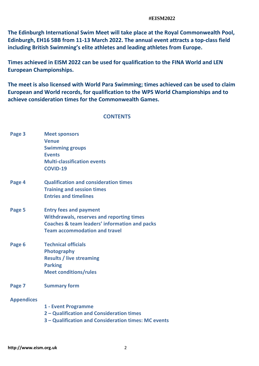**The Edinburgh International Swim Meet will take place at the Royal Commonwealth Pool, Edinburgh, EH16 5BB from 11-13 March 2022. The annual event attracts a top-class field including British Swimming's elite athletes and leading athletes from Europe.**

**Times achieved in EISM 2022 can be used for qualification to the FINA World and LEN European Championships.**

**The meet is also licensed with World Para Swimming; times achieved can be used to claim European and World records, for qualification to the WPS World Championships and to achieve consideration times for the Commonwealth Games.**

# **CONTENTS**

- **Page 3 Meet sponsors Venue Swimming groups Events Multi-classification events COVID-19**
- **Page 4 Qualification and consideration times Training and session times Entries and timelines**
- **Page 5 Entry fees and payment Withdrawals, reserves and reporting times Coaches & team leaders' information and packs Team accommodation and travel**
- **Page 6 Technical officials Photography Results / live streaming Parking Meet conditions/rules**
- **Page 7 Summary form**

# **Appendices**

- **1 - Event Programme**
- **2 – Qualification and Consideration times**
- **3 – Qualification and Consideration times: MC events**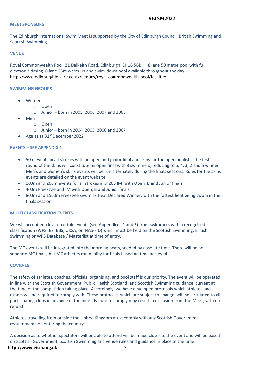#### **MEET SPONSORS**

The Edinburgh International Swim Meet is supported by the City of Edinburgh Council, British Swimming and Scottish Swimming.

#### **VENUE**

Royal Commonwealth Pool, 21 Dalkeith Road, Edinburgh, EH16 5BB. 8 lane 50 metre pool with full electronic timing. 6 lane 25m warm up and swim-down pool available throughout the day*.*  <http://www.edinburghleisure.co.uk/venues/royal-commonwealth-pool/facilities>

#### **SWIMMING GROUPS**

- Women
	- o Open
		- $\circ$  Junior born in 2005, 2006, 2007 and 2008
- Men
	- o Open
	- o Junior born in 2004, 2005, 2006 and 2007
- Age as at  $31<sup>st</sup>$  December 2022

#### **EVENTS – SEE APPENDIX 1**

- 50m events in all strokes with an open and junior final and skins for the open finalists. The first round of the skins will constitute an open final with 8 swimmers, reducing to 6, 4, 3, 2 and a winner. Men's and women's skins events will be run alternately during the finals sessions. Rules for the skins events are detailed on the event website.
- 100m and 200m events for all strokes and 200 IM, with Open, B and Junior finals.
- 400m Freestyle and IM with Open, B and Junior finals.
- 800m and 1500m Freestyle swum as Heat Declared Winner, with the fastest heat being swum in the finals session.

#### **MULTI CLASSIFICATION EVENTS**

We will accept entries for certain events (see Appendices 1 and 3) from swimmers with a recognised classification (WPS, BS, BBS, UKSA, or INAS-FID) which must be held on the Scottish Swimming, British Swimming or WPS Database / Masterlist at time of entry.

The MC events will be integrated into the morning heats, seeded by absolute time. There will be no separate MC finals, but MC athletes can qualify for finals based on time achieved.

#### **COVID-19**

The safety of athletes, coaches, officials, organising, and pool staff is our priority. The event will be operated in line with the Scottish Government, Public Health Scotland, and Scottish Swimming guidance, current at the time of the competition taking place. Accordingly, we have developed protocols which athletes and others will be required to comply with. These protocols, which are subject to change, will be circulated to all participating clubs in advance of the meet. Failure to comply may result in exclusion from the Meet, with no refund

Athletes travelling from outside the United Kingdom must comply with any Scottish Government requirements on entering the country.

A decision as to whether spectators will be able to attend will be made closer to the event and will be based on Scottish Government, Scottish Swimming and venue rules and guidance in place at the time.

#### **[http://www.eism.org.uk](http://www.eism.org.uk/)** 3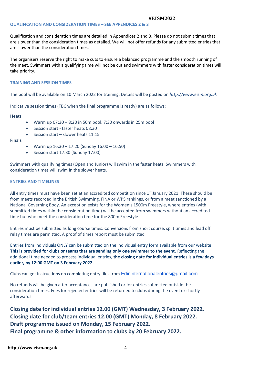#### **QUALIFICATION AND CONSIDERATION TIMES – SEE APPENDICES 2 & 3**

Qualification and consideration times are detailed in Appendices 2 and 3. Please do not submit times that are slower than the consideration times as detailed. We will not offer refunds for any submitted entries that are slower than the consideration times.

The organisers reserve the right to make cuts to ensure a balanced programme and the smooth running of the meet. Swimmers with a qualifying time will not be cut and swimmers with faster consideration times will take priority.

#### **TRAINING AND SESSION TIMES**

The pool will be available on 10 March 2022 for training. Details will be posted on *[http://www.eism.org.uk](http://www.eism.org.uk/)*

Indicative session times (TBC when the final programme is ready) are as follows:

**Heats** 

- Warm up  $07:30 8:20$  in 50m pool. 7:30 onwards in 25m pool
- Session start faster heats 08:30
- Session start slower heats 11:15

#### **Finals**

- Warm up  $16:30 17:20$  (Sunday  $16:00 16:50$ )
- Session start 17:30 (Sunday 17:00)

Swimmers with qualifying times (Open and Junior) will swim in the faster heats. Swimmers with consideration times will swim in the slower heats.

#### **ENTRIES AND TIMELINES**

All entry times must have been set at an accredited competition since 1<sup>st</sup> January 2021. These should be from meets recorded in the British Swimming, FINA or WPS rankings, or from a meet sanctioned by a National Governing Body. An exception exists for the Women's 1500m Freestyle, where entries (with submitted times within the consideration time) will be accepted from swimmers without an accredited time but who meet the consideration time for the 800m Freestyle.

Entries must be submitted as long course times. Conversions from short course, split times and lead off relay times are permitted. A proof of times report must be submitted

Entries from individuals ONLY can be submitted on the individual entry form available from our website**. This is provided for clubs or teams that are sending only one swimmer to the event.** Reflecting the additional time needed to process individual entries**, the closing date for individual entries is a few days earlier, by 12:00 GMT on 3 February 2022.**

Clubscan get instructions on completing entry files from [Edininternationalentries@gmail.com](mailto:Edininternationalentries@gmail.com).

No refunds will be given after acceptances are published or for entries submitted outside the consideration times. Fees for rejected entries will be returned to clubs during the event or shortly afterwards.

**Closing date for individual entries 12.00 (GMT) Wednesday, 3 February 2022. Closing date for club/team entries 12.00 (GMT) Monday, 8 February 2022. Draft programme issued on Monday, 15 February 2022. Final programme & other information to clubs by 20 February 2022.**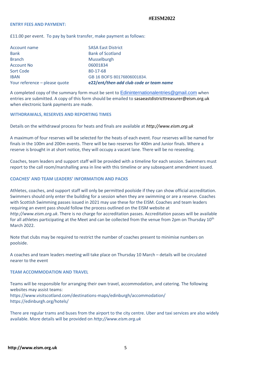#### **ENTRY FEES AND PAYMENT:**

£11.00 per event. To pay by bank transfer, make payment as follows:

| Account name                  | <b>SASA East District</b>               |
|-------------------------------|-----------------------------------------|
| <b>Bank</b>                   | <b>Bank of Scotland</b>                 |
| <b>Branch</b>                 | <b>Musselburgh</b>                      |
| <b>Account No</b>             | 06001834                                |
| Sort Code                     | 80-17-68                                |
| <b>IBAN</b>                   | GB 16 BOFS 80176806001834.              |
| Your reference - please quote | e22/ent/then add club code or team name |

A completed copy of the summary form must be sent to [Edininternationalentries@gmail.com](mailto:Edininternationalentries@gmail.com) when entries are submitted. A copy of this form should be emailed to [sasaeastdistricttreasurer@eism.org.uk](mailto:sasaeastdistricttreasurer@eism.org.uk) when electronic bank payments are made.

#### **WITHDRAWALS, RESERVES AND REPORTING TIMES**

Details on the withdrawal process for heats and finals are available at *[http://www.eism.org.uk](http://www.eism.org.uk/)*

A maximum of four reserves will be selected for the heats of each event. Four reserves will be named for finals in the 100m and 200m events. There will be two reserves for 400m and Junior finals. Where a reserve is brought in at short notice, they will occupy a vacant lane. There will be no reseeding.

Coaches, team leaders and support staff will be provided with a timeline for each session. Swimmers must report to the call room/marshalling area in line with this timeline or any subsequent amendment issued.

#### **COACHES' AND TEAM LEADERS' INFORMATION AND PACKS**

Athletes, coaches, and support staff will only be permitted poolside if they can show official accreditation. Swimmers should only enter the building for a session when they are swimming or are a reserve. Coaches with Scottish Swimming passes issued in 2021 may use these for the EISM. Coaches and team leaders requiring an event pass should follow the process outlined on the EISM website at *http://www.eism.org.uk*. There is no charge for accreditation passes. Accreditation passes will be available for all athletes participating at the Meet and can be collected from the venue from 2pm on Thursday 10<sup>th</sup> March 2022.

Note that clubs may be required to restrict the number of coaches present to minimise numbers on poolside.

A coaches and team leaders meeting will take place on Thursday 10 March – details will be circulated nearer to the event

#### **TEAM ACCOMMODATION AND TRAVEL**

Teams will be responsible for arranging their own travel, accommodation, and catering. The following websites may assist teams: <https://www.visitscotland.com/destinations-maps/edinburgh/accommodation/> <https://edinburgh.org/hotels/>

There are regular trams and buses from the airport to the city centre. Uber and taxi services are also widely available. More details will be provided on *[http://www.eism.org.uk](http://www.eism.org.uk/)*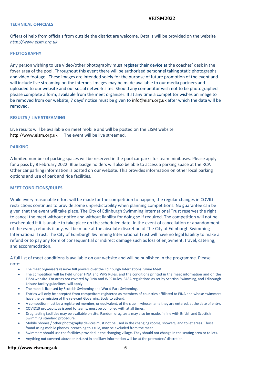#### **TECHNICAL OFFICIALS**

Offers of help from officials from outside the district are welcome. Details will be provided on the website *[http://www.eism.org.uk](http://www.eism.org.uk/)*

#### **PHOTOGRAPHY**

Any person wishing to use video/other photography must register their device at the coaches' desk in the foyer area of the pool. Throughout this event there will be authorised personnel taking static photographs and video footage. These images are intended solely for the purpose of future promotion of the event and will include live streaming on the internet. Images may be made available to our media partners and uploaded to our website and our social network sites. Should any competitor wish not to be photographed please complete a form, available from the meet organiser. If at any time a competitor wishes an image to be removed from our website, 7 days' notice must be given to [info@eism.org.uk](mailto:info@eism.org.uk) after which the data will be removed.

#### **RESULTS / LIVE STREAMING**

Live results will be available on meet mobile and will be posted on the EISM website [http://www.eism.org.uk](http://www.eism.org.uk/)The event will be live streamed.

#### **PARKING**

A limited number of parking spaces will be reserved in the pool car parks for team minibuses. Please apply for a pass by 8 February 2022. Blue badge holders will also be able to access a parking space at the RCP. Other car parking information is posted on our website. This provides information on other local parking options and use of park and ride facilities.

#### **MEET CONDITIONS/RULES**

While every reasonable effort will be made for the competition to happen, the regular changes in COVID restrictions continues to provide some unpredictability when planning competitions. No guarantee can be given that the event will take place. The City of Edinburgh Swimming International Trust reserves the right to cancel the meet without notice and without liability for doing so if required. The competition will not be rescheduled if it is unable to take place on the scheduled date. In the event of cancellation or abandonment of the event, refunds if any, will be made at the absolute discretion of The City of Edinburgh Swimming International Trust. The City of Edinburgh Swimming International Trust will have no legal liability to make a refund or to pay any form of consequential or indirect damage such as loss of enjoyment, travel, catering, and accommodation.

A full list of meet conditions is available on our website and will be published in the programme. Please note:

- The meet organisers reserve full powers over the Edinburgh International Swim Meet.
- The competition will be held under FINA and WPS Rules, and the conditions printed in the meet information and on the EISM website. For areas not covered by FINA and WPS Rules, SASA regulations as set by Scottish Swimming, and Edinburgh Leisure facility guidelines, will apply.
- The meet is licensed by Scottish Swimming and World Para Swimming.
- Entries will only be accepted from competitors registered as members of countries affiliated to FINA and whose swimmers have the permission of the relevant Governing Body to attend.
- A competitor must be a registered member, or equivalent, of the club in whose name they are entered, at the date of entry.
- COVID19 protocols, as issued to teams, must be complied with at all times.
- Drug testing facilities may be available on site. Random drug tests may also be made, in line with British and Scottish Swimming standard procedure.
- Mobile phones / other photography devices must not be used in the changing rooms, showers, and toilet areas. Those found using mobile phones, breaching this rule, may be excluded from the meet.
- Swimmers should use the facilities provided in the changing village. They should not change in the seating area or toilets.
- Anything not covered above or included in ancillary information will be at the promoters' discretion.

#### **[http://www.eism.org.uk](http://www.eism.org.uk/)** 6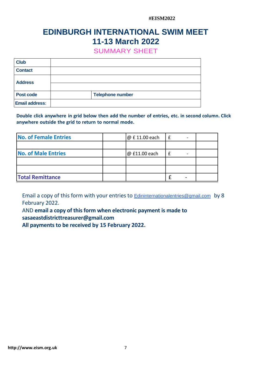# **EDINBURGH INTERNATIONAL SWIM MEET 11-13 March 2022**

SUMMARY SHEET

| <b>Club</b>           |                         |
|-----------------------|-------------------------|
| <b>Contact</b>        |                         |
| <b>Address</b>        |                         |
|                       |                         |
| <b>Post code</b>      | <b>Telephone number</b> |
| <b>Email address:</b> |                         |

**Double click anywhere in grid below then add the number of entries, etc. in second column. Click anywhere outside the grid to return to normal mode.**

| <b>No. of Female Entries</b> | @ £11.00 each | $\overline{\phantom{0}}$ |  |
|------------------------------|---------------|--------------------------|--|
|                              |               |                          |  |
| <b>No. of Male Entries</b>   | @ £11.00 each | $\overline{\phantom{0}}$ |  |
|                              |               |                          |  |
|                              |               |                          |  |
| <b>Total Remittance</b>      |               |                          |  |

Emaila copy of this form with your entries to **[Edininternationalentries@gmail.com](mailto:Edininternationalentries@gmail.com)** by 8 February 2022.

AND **email a copy of this form when electronic payment is made to sasaeastdistricttreasurer@gmail.com**

**All payments to be received by 15 February 2022.**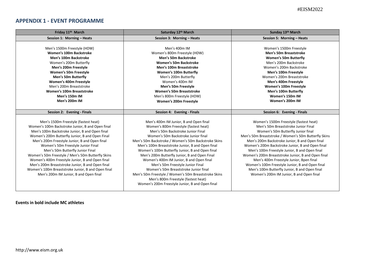# **APPENDIX 1 - EVENT PROGRAMME**

| Friday 11 <sup>th</sup> March                                                                                                                                                                                                                                                                                                                                                                                                                                                                                                                                                        | Saturday 12th March                                                                                                                                                                                                                                                                                                                                                                                                                                                                                                                                                                                                                                   | Sunday 13th March                                                                                                                                                                                                                                                                                                                                                                                                                                                                                                                                                                   |
|--------------------------------------------------------------------------------------------------------------------------------------------------------------------------------------------------------------------------------------------------------------------------------------------------------------------------------------------------------------------------------------------------------------------------------------------------------------------------------------------------------------------------------------------------------------------------------------|-------------------------------------------------------------------------------------------------------------------------------------------------------------------------------------------------------------------------------------------------------------------------------------------------------------------------------------------------------------------------------------------------------------------------------------------------------------------------------------------------------------------------------------------------------------------------------------------------------------------------------------------------------|-------------------------------------------------------------------------------------------------------------------------------------------------------------------------------------------------------------------------------------------------------------------------------------------------------------------------------------------------------------------------------------------------------------------------------------------------------------------------------------------------------------------------------------------------------------------------------------|
| Session 1: Morning - Heats                                                                                                                                                                                                                                                                                                                                                                                                                                                                                                                                                           | Session 3: Morning - Heats                                                                                                                                                                                                                                                                                                                                                                                                                                                                                                                                                                                                                            | Session 5: Morning - Heats                                                                                                                                                                                                                                                                                                                                                                                                                                                                                                                                                          |
| Men's 1500m Freestyle (HDW)<br>Women's 100m Backstroke<br>Men's 100m Backstroke<br>Women's 200m Butterfly<br>Men's 200m Freestyle<br><b>Women's 50m Freestyle</b><br>Men's 50m Butterfly<br>Women's 400m Freestyle<br>Men's 200m Breaststroke<br>Women's 100m Breaststroke<br>Men's 150m IM<br>Men's 200m IM                                                                                                                                                                                                                                                                         | Men's 400m IM<br>Women's 800m Freestyle (HDW)<br><b>Men's 50m Backstroke</b><br><b>Women's 50m Backstroke</b><br>Men's 100m Breaststroke<br><b>Women's 100m Butterfly</b><br>Men's 200m Butterfly<br>Women's 400m IM<br>Men's 50m Freestyle<br><b>Women's 50m Breaststroke</b><br>Men's 800m Freestyle (HDW)<br>Women's 200m Freestyle                                                                                                                                                                                                                                                                                                                | Women's 1500m Freestyle<br><b>Men's 50m Breaststroke</b><br><b>Women's 50m Butterfly</b><br>Men's 200m Backstroke<br>Women's 200m Backstroke<br>Men's 100m Freestyle<br>Women's 200m Breaststroke<br>Men's 400m Freestyle<br>Women's 100m Freestyle<br>Men's 100m Butterfly<br>Women's 150m IM<br>Women's 200m IM                                                                                                                                                                                                                                                                   |
|                                                                                                                                                                                                                                                                                                                                                                                                                                                                                                                                                                                      |                                                                                                                                                                                                                                                                                                                                                                                                                                                                                                                                                                                                                                                       |                                                                                                                                                                                                                                                                                                                                                                                                                                                                                                                                                                                     |
| Session 2: Evening - Finals                                                                                                                                                                                                                                                                                                                                                                                                                                                                                                                                                          | Session 4: Evening - Finals                                                                                                                                                                                                                                                                                                                                                                                                                                                                                                                                                                                                                           | Session 6: Evening - Finals                                                                                                                                                                                                                                                                                                                                                                                                                                                                                                                                                         |
| Men's 1500m Freestyle (fastest heat)<br>Women's 100m Backstroke Junior, B and Open final<br>Men's 100m Backstroke Junior, B and Open final<br>Women's 200m Butterfly Junior, B and Open Final<br>Men's 200m Freestyle Junior, B and Open final<br>Women's 50m Freestyle Junior Final<br>Men's 50m Butterfly Junior Final<br>Women's 50m Freestyle / Men's 50m Butterfly Skins<br>Women's 400m Freestyle Junior, B and Open final<br>Men's 200m Breaststroke Junior, B and Open final<br>Women's 100m Breaststroke Junior, B and Open final<br>Men's 200m IM Junior, B and Open final | Men's 400m IM Junior, B and Open final<br>Women's 800m Freestyle (fastest heat)<br>Men's 50m Backstroke Junior Final<br>Women's 50m Backstroke Junior final<br>Men's 50m Backstroke / Women's 50m Backstroke Skins<br>Men's 100m Breaststroke Junior, B and Open final<br>Women's 100m Butterfly Junior, B and Open final<br>Men's 200m Butterfly Junior, B and Open Final<br>Women's 400m IM Junior, B and Open final<br>Men's 50m Freestyle Junior Final<br>Women's 50m Breaststroke Junior final<br>Men's 50m Freestyle / Women's 50m Breaststroke Skins<br>Men's 800m Freestyle (fastest heat)<br>Women's 200m Freestyle Junior, B and Open final | Women's 1500m Freestyle (fastest heat)<br>Men's 50m Breaststroke Junior Final<br>Women's 50m Butterfly Junior final<br>Men's 50m Breaststroke / Women's 50m Butterfly Skins<br>Men's 200m Backstroke Junior, B and Open final<br>Women's 200m Backstroke Junior, B and Open final<br>Men's 100m Freestyle Junior, B and Open final<br>Women's 200m Breaststroke Junior, B and Open final<br>Men's 400m Freestyle Junior, Bpen final<br>Women's 100m Freestyle Junior, B and Open final<br>Men's 100m Butterfly Junior, B and Open final<br>Women's 200m IM Junior, B and Open final |

**Events in bold include MC athletes**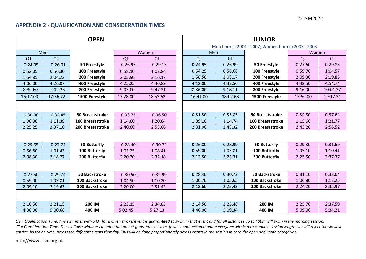# **APPENDIX 2 - QUALIFICATION AND CONSIDERATION TIMES**

| <b>OPEN</b> |          |           |                        |          | <b>JUNIOR</b> |                                                    |           |                         |          |           |
|-------------|----------|-----------|------------------------|----------|---------------|----------------------------------------------------|-----------|-------------------------|----------|-----------|
|             |          |           |                        |          |               | Men born in 2004 - 2007; Women born in 2005 - 2008 |           |                         |          |           |
|             |          | Men       |                        |          | Women         | Men                                                |           |                         | Women    |           |
|             | QT       | <b>CT</b> |                        | QT       | <b>CT</b>     | QT                                                 | <b>CT</b> |                         | QT       | <b>CT</b> |
|             | 0:24.05  | 0:26.01   | 50 Freestyle           | 0:26.95  | 0:29.15       | 0:24.95                                            | 0:26.99   | 50 Freestyle            | 0:27.60  | 0:29.85   |
|             | 0:52.05  | 0:56.30   | 100 Freestyle          | 0:58.10  | 1:02.84       | 0:54.25                                            | 0:58.68   | 100 Freestyle           | 0:59.70  | 1:04.57   |
|             | 1:54.85  | 2:04.22   | 200 Freestyle          | 2:05.90  | 2:16.17       | 1:58.50                                            | 2:08.17   | 200 Freestyle           | 2:09.30  | 2:19.85   |
|             | 4:06.00  | 4:26.07   | 400 Freestyle          | 4:25.25  | 4:46.89       | 4:12.00                                            | 4:32.56   | 400 Freestyle           | 4:32.50  | 4:54.74   |
|             | 8:30.60  | 9:12.26   | 800 Freestyle          | 9:03.00  | 9:47.31       | 8:36.00                                            | 9:18.11   | 800 Freestyle           | 9:16.00  | 10:01.37  |
|             | 16:17.00 | 17:36.72  | 1500 Freestyle         | 17:28.00 | 18:53.52      | 16:41.00                                           | 18:02.68  | 1500 Freestyle          | 17:50.00 | 19:17.31  |
|             |          |           |                        |          |               |                                                    |           |                         |          |           |
|             | 0:30.00  | 0:32.45   | <b>50 Breaststroke</b> | 0:33.75  | 0:36.50       | 0:31.30                                            | 0:33.85   | <b>50 Breaststroke</b>  | 0:34.80  | 0:37.64   |
|             | 1:06.00  | 1:11.39   | 100 Breaststroke       | 1:14.00  | 1:20.04       | 1:09.10                                            | 1:14.74   | <b>100 Breaststroke</b> | 1:15.60  | 1:21.77   |
|             | 2:25.25  | 2:37.10   | 200 Breaststroke       | 2:40.00  | 2:53.06       | 2:31.00                                            | 2:43.32   | 200 Breaststroke        | 2:43.20  | 2:56.52   |
|             |          |           |                        |          |               |                                                    |           |                         |          |           |
|             |          |           |                        |          |               |                                                    |           |                         |          |           |
|             | 0:25.65  | 0:27.74   | <b>50 Butterfly</b>    | 0:28.40  | 0:30.72       | 0:26.80                                            | 0:28.99   | 50 Butterfly            | 0:29.30  | 0:31.69   |
|             | 0:56.80  | 1:01.43   | 100 Butterfly          | 1:03.25  | 1:08.41       | 0:59.00                                            | 1:03.81   | 100 Butterfly           | 1:05.10  | 1:10.41   |
|             | 2:08.30  | 2:18.77   | 200 Butterfly          | 2:20.70  | 2:32.18       | 2:12.50                                            | 2:23.31   | 200 Butterfly           | 2:25.50  | 2:37.37   |
|             |          |           |                        |          |               |                                                    |           |                         |          |           |
|             | 0:27.50  | 0:29.74   | <b>50 Backstroke</b>   | 0:30.50  | 0:32.99       | 0:28.40                                            | 0:30.72   | <b>50 Backstroke</b>    | 0:31.10  | 0:33.64   |
|             | 0:59.00  | 1:03.81   | 100 Backstroke         | 1:04.90  | 1:10.20       | 1:00.70                                            | 1:05.65   | 100 Backstroke          | 1:06.80  | 1:12.25   |
|             | 2:09.10  | 2:19.63   | 200 Backstroke         | 2:20.00  | 2:31.42       | 2:12.60                                            | 2:23.42   | 200 Backstroke          | 2:24.20  | 2:35.97   |
|             |          |           |                        |          |               |                                                    |           |                         |          |           |
|             | 2:10.50  | 2:21.15   | 200 IM                 | 2:23.15  | 2:34.83       | 2:14.50                                            | 2:25.48   | 200 IM                  | 2:25.70  | 2:37.59   |
|             | 4:38.00  | 5:00.68   | 400 IM                 | 5:02.45  | 5:27.13       | 4:46.00                                            | 5:09.34   | 400 IM                  | 5:09.00  | 5:34.21   |
|             |          |           |                        |          |               |                                                    |           |                         |          |           |

| JUNIUI\                                            |           |                         |          |           |  |  |  |  |
|----------------------------------------------------|-----------|-------------------------|----------|-----------|--|--|--|--|
| Men born in 2004 - 2007; Women born in 2005 - 2008 |           |                         |          |           |  |  |  |  |
| Men                                                |           |                         | Women    |           |  |  |  |  |
| QT                                                 | <b>CT</b> |                         | QT       | <b>CT</b> |  |  |  |  |
| 0:24.95                                            | 0:26.99   | 50 Freestyle            | 0:27.60  | 0:29.85   |  |  |  |  |
| 0:54.25                                            | 0:58.68   | 100 Freestyle           | 0:59.70  | 1:04.57   |  |  |  |  |
| 1:58.50                                            | 2:08.17   | 200 Freestyle           | 2:09.30  | 2:19.85   |  |  |  |  |
| 4:12.00                                            | 4:32.56   | 400 Freestyle           | 4:32.50  | 4:54.74   |  |  |  |  |
| 8:36.00                                            | 9:18.11   | 800 Freestyle           | 9:16.00  | 10:01.37  |  |  |  |  |
| 16:41.00                                           | 18:02.68  | 1500 Freestyle          | 17:50.00 | 19:17.31  |  |  |  |  |
|                                                    |           |                         |          |           |  |  |  |  |
| 0:31.30                                            | 0:33.85   | <b>50 Breaststroke</b>  | 0:34.80  | 0:37.64   |  |  |  |  |
| 1:09.10                                            | 1:14.74   | <b>100 Breaststroke</b> | 1:15.60  | 1:21.77   |  |  |  |  |
| 2:31.00                                            | 2:43.32   | 200 Breaststroke        | 2:43.20  | 2:56.52   |  |  |  |  |
|                                                    |           |                         |          |           |  |  |  |  |
| 0:26.80                                            | 0:28.99   | <b>50 Butterfly</b>     | 0:29.30  | 0:31.69   |  |  |  |  |
| 0:59.00                                            | 1:03.81   | 100 Butterfly           | 1:05.10  | 1:10.41   |  |  |  |  |
| 2:12.50                                            | 2:23.31   | 200 Butterfly           | 2:25.50  | 2:37.37   |  |  |  |  |
|                                                    |           |                         |          |           |  |  |  |  |
| 0:28.40                                            | 0:30.72   | <b>50 Backstroke</b>    | 0:31.10  | 0:33.64   |  |  |  |  |
| 1:00.70                                            | 1:05.65   | 100 Backstroke          | 1:06.80  | 1:12.25   |  |  |  |  |
| 2:12.60                                            | 2:23.42   | 200 Backstroke          | 2:24.20  | 2:35.97   |  |  |  |  |
|                                                    |           |                         |          |           |  |  |  |  |
| 2:14.50                                            | 2:25.48   | 200 IM                  | 2:25.70  | 2:37.59   |  |  |  |  |
| 4:46.00                                            | 5:09.34   | 400 IM                  | 5:09.00  | 5:34.21   |  |  |  |  |

 $QT$  = Qualification Time. Any swimmer with a QT for a given stroke/event is **guaranteed** to swim in that event and for all distances up to 400m will swim in the morning session. *CT = Consideration Time. These allow swimmers to enter but do not guarantee a swim. If we cannot accommodate everyone within a reasonable session length, we will reject the slowest entries, based on time, across the different events that day. This will be done proportionately across events in the session in both the open and youth categories.* 

[http://www.eism.org.uk](http://www.eism.org.uk/)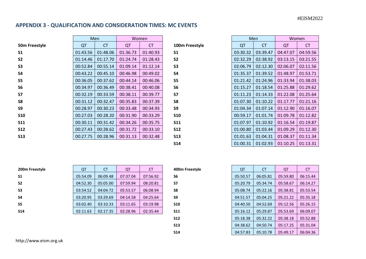# **APPENDIX 3 - QUALIFICATION AND CONSIDERATION TIMES: MC EVENTS**

|                |          | Men       |          | Women     |                  |           | Men       |                      | Women     |  |
|----------------|----------|-----------|----------|-----------|------------------|-----------|-----------|----------------------|-----------|--|
| 50m Freestyle  | QT       | <b>CT</b> | QT       | <b>CT</b> | 100m Freestyle   | QT        | <b>CT</b> | QT                   | <b>CT</b> |  |
| S <sub>1</sub> | 01:43.56 | 01:48.06  | 01:36.73 | 01:40.93  | S <sub>1</sub>   | 03:30.32  | 03:39.47  | 04:47.07             | 04:59.56  |  |
| S <sub>2</sub> | 01:14.46 | 01:17.70  | 01:24.74 | 01:28.43  | <b>S2</b>        | 02:32.29  | 02:38.92  | 03:13.15             | 03:21.55  |  |
| S <sub>3</sub> | 00:52.84 | 00:55.14  | 01:09.14 | 01:12.14  | S <sub>3</sub>   | 02:06.79  | 02:12.30  | 02:06.07             | 02:11.56  |  |
| S4             | 00:43.22 | 00:45.10  | 00:46.98 | 00:49.02  | <b>S4</b>        | 01:35.37  | 01:39.52  | 01:48.97             | 01:53.71  |  |
| S5             | 00:36.05 | 00:37.62  | 00:44.14 | 00:46.06  | S5               | 01:21.42  | 01:24.96  | 01:33.94             | 01:38.03  |  |
| S6             | 00:34.97 | 00:36.49  | 00:38.41 | 00:40.08  | S <sub>6</sub>   | 01:15.27  | 01:18.54  | 01:25.88             | 01:29.62  |  |
| <b>S7</b>      | 00:32.19 | 00:33.59  | 00:38.11 | 00:39.77  | <b>S7</b>        | 01:11.23  | 01:14.33  | 01:22.08             | 01:25.64  |  |
| S8             | 00:31.12 | 00:32.47  | 00:35.83 | 00:37.39  | <b>S8</b>        | 01:07.30  | 01:10.22  | 01:17.77             | 01:21.16  |  |
| <b>S9</b>      | 00:28.97 | 00:30.23  | 00:33.48 | 00:34.93  | S9               | 01:04.34  | 01:07.14  | 01:12.90             | 01:16.07  |  |
| <b>S10</b>     | 00:27.03 | 00:28.20  | 00:31.90 | 00:33.29  | <b>S10</b>       | 00:59.17  | 01:01.74  | 01:09.78             | 01:12.82  |  |
| <b>S11</b>     | 00:30.11 | 00:31.42  | 00:34.26 | 00:35.75  | <b>S11</b>       | 01:07.97  | 01:10.92  | 01:16.54             | 01:19.87  |  |
| <b>S12</b>     | 00:27.43 | 00:28.62  | 00:31.72 | 00:33.10  | <b>S12</b>       | 01:00.80  | 01:03.44  | 01:09.29             | 01:12.30  |  |
| <b>S13</b>     | 00:27.75 | 00:28.96  | 00:31.13 | 00:32.48  | <b>S13</b>       | 01:01.63  | 01:04.31  | 01:08.37             | 01:11.34  |  |
|                |          |           |          |           | C <sub>4</sub> A | 0.1.00.21 | 0.1.02.02 | $0.1.1025$ $0.1.122$ |           |  |

| 100m Free      |  |
|----------------|--|
| <b>S1</b>      |  |
| S2             |  |
| S3             |  |
| S4             |  |
| S5             |  |
| S <sub>6</sub> |  |
| S7             |  |
| S8             |  |
| S9             |  |
| <b>S10</b>     |  |
| <b>S11</b>     |  |
| <b>S12</b>     |  |
| <b>S13</b>     |  |
| S14            |  |
|                |  |

|                |          | Men       | Women    |           |  |
|----------------|----------|-----------|----------|-----------|--|
| 100m Freestyle | QT       | <b>CT</b> | QT       | <b>CT</b> |  |
| \$1            | 03:30.32 | 03:39.47  | 04:47.07 | 04:59.56  |  |
| S2             | 02:32.29 | 02:38.92  | 03:13.15 | 03:21.55  |  |
| S3             | 02:06.79 | 02:12.30  | 02:06.07 | 02:11.56  |  |
| S4             | 01:35.37 | 01:39.52  | 01:48.97 | 01:53.71  |  |
| S5             | 01:21.42 | 01:24.96  | 01:33.94 | 01:38.03  |  |
| S6             | 01:15.27 | 01:18.54  | 01:25.88 | 01:29.62  |  |
| 57             | 01:11.23 | 01:14.33  | 01:22.08 | 01:25.64  |  |
| S8             | 01:07.30 | 01:10.22  | 01:17.77 | 01:21.16  |  |
| S9             | 01:04.34 | 01:07.14  | 01:12.90 | 01:16.07  |  |
| <b>S10</b>     | 00:59.17 | 01:01.74  | 01:09.78 | 01:12.82  |  |
| <b>S11</b>     | 01:07.97 | 01:10.92  | 01:16.54 | 01:19.87  |  |
| S12            | 01:00.80 | 01:03.44  | 01:09.29 | 01:12.30  |  |
| S13            | 01:01.63 | 01:04.31  | 01:08.37 | 01:11.34  |  |
| S14            | 01:00.31 | 01:02.93  | 01:10.25 | 01:13.31  |  |

| 200m Freestyle | QT       | <b>CT</b> | QT       | CT       | 400m Freestyle | QT       | <b>CT</b> | QT       | <b>CT</b> |
|----------------|----------|-----------|----------|----------|----------------|----------|-----------|----------|-----------|
| <b>S1</b>      | 05:54.09 | 06:09.48  | 07:37.04 | 07:56.92 | S6             | 05:50.57 | 06:05.81  | 05:59.80 | 06:15.44  |
| S <sub>2</sub> | 04:52.30 | 05:05.00  | 07:59.94 | 08:20.81 | S7             | 05:20.79 | 05:34.74  | 05:58.67 | 06:14.27  |
| S <sub>3</sub> | 03:54.52 | 04:04.72  | 05:53.57 | 06:08.94 | S8             | 05:08.74 | 05:22.16  | 05:38.81 | 05:53.54  |
| S <sub>4</sub> | 03:20.95 | 03:29.69  | 04:14.58 | 04:25.64 | S9             | 04:51.57 | 05:04.25  | 05:21.22 | 05:35.18  |
| S <sub>5</sub> | 03:02.40 | 03:10.33  | 03:11.65 | 03:19.98 | <b>S10</b>     | 04:40.50 | 04:52.69  | 05:12.56 | 05:26.15  |
| <b>S14</b>     | 02:11.63 | 02:17.35  | 02:28.96 | 02:35.44 | <b>S11</b>     | 05:16.12 | 05:29.87  | 05:53.69 | 06:09.07  |
|                |          |           |          |          |                |          |           |          |           |

| 400m Freestyle |
|----------------|
|                |

| 5b.            | <u>U5:50.57</u> | <b>Ub:U5.81</b> | U5:59.80 | Ub:15.44 |
|----------------|-----------------|-----------------|----------|----------|
| S7             | 05:20.79        | 05:34.74        | 05:58.67 | 06:14.27 |
| S8             | 05:08.74        | 05:22.16        | 05:38.81 | 05:53.54 |
| S <sub>9</sub> | 04:51.57        | 05:04.25        | 05:21.22 | 05:35.18 |
| <b>S10</b>     | 04:40.50        | 04:52.69        | 05:12.56 | 05:26.15 |
| <b>S11</b>     | 05:16.12        | 05:29.87        | 05:53.69 | 06:09.07 |
| <b>S12</b>     | 05:18.38        | 05:32.22        | 05:38.18 | 05:52.88 |
| <b>S13</b>     | 04:38.62        | 04:50.74        | 05:17.25 | 05:31.04 |
| <b>S14</b>     | 04:57.83        | 05:10.78        | 05:49.17 | 06:04.36 |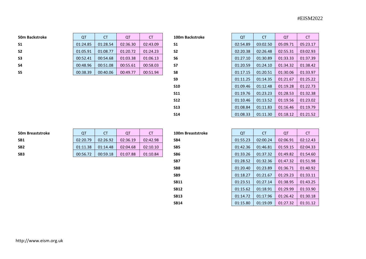| <b>50m Backstroke</b> | Q        | СT       | QT       | <b>CT</b> | 100m Backstroke | QT       | <b>CT</b> | QT       |          |
|-----------------------|----------|----------|----------|-----------|-----------------|----------|-----------|----------|----------|
| <b>S1</b>             | 01:24.85 | 01:28.54 | 02:36.30 | 02:43.09  | S1              | 02:54.89 | 03:02.50  | 05:09.71 | 05:23.17 |
| S <sub>2</sub>        | 01:05.91 | 01:08.77 | 01:20.72 | 01:24.23  | S <sub>2</sub>  | 02:20.38 | 02:26.48  | 02:55.31 | 03:02.93 |
| S <sub>3</sub>        | 00:52.41 | 00:54.68 | 01:03.38 | 01:06.13  | S6              | 01:27.10 | 01:30.89  | 01:33.33 | 01:37.39 |
| S4                    | 00:48.96 | 00:51.08 | 00:55.61 | 00:58.03  | S7              | 01:20.59 | 01:24.10  | 01:34.32 | 01:38.42 |
| S <sub>5</sub>        | 00:38.39 | 00:40.06 | 00:49.77 | 00:51.94  | S8              | 01:17.15 | 01:20.51  | 01:30.06 | 01:33.97 |
|                       |          |          |          |           |                 |          |           |          |          |

| S1         |
|------------|
| S2         |
| S6         |
| S7         |
| S8         |
| S9         |
| <b>S10</b> |
| S11        |
| S12        |
| S13        |
| S14        |

| 100m Backstroke | QT       | <b>CT</b> | QT       | <b>CT</b> |
|-----------------|----------|-----------|----------|-----------|
| S1              | 02:54.89 | 03:02.50  | 05:09.71 | 05:23.17  |
| S2              | 02:20.38 | 02:26.48  | 02:55.31 | 03:02.93  |
| S6              | 01:27.10 | 01:30.89  | 01:33.33 | 01:37.39  |
| S7              | 01:20.59 | 01:24.10  | 01:34.32 | 01:38.42  |
| S8              | 01:17.15 | 01:20.51  | 01:30.06 | 01:33.97  |
| S9              | 01:11.25 | 01:14.35  | 01:21.67 | 01:25.22  |
| S10             | 01:09.46 | 01:12.48  | 01:19.28 | 01:22.73  |
| S11             | 01:19.76 | 01:23.23  | 01:28.53 | 01:32.38  |
| S12             | 01:10.46 | 01:13.52  | 01:19.56 | 01:23.02  |
| S13             | 01:08.84 | 01:11.83  | 01:16.46 | 01:19.79  |
| S14             | 01:08.33 | 01:11.30  | 01:18.12 | 01:21.52  |

| <b>50m Breaststroke</b> |  |
|-------------------------|--|
| SB <sub>1</sub>         |  |
| SB <sub>2</sub>         |  |
|                         |  |

| <b>OT</b>            |
|----------------------|
| 02:12.43<br>02:06.91 |
| 02:04.33<br>01:59.15 |
| 01:54.60<br>01:49.82 |
|                      |

| 100m Breaststroke |  |
|-------------------|--|
| SB4               |  |
| CRE               |  |

| 100m Breaststroke | QT       | CТ       | QT       | СT       |
|-------------------|----------|----------|----------|----------|
| SB4               | 01:55.23 | 02:00.24 | 02:06.91 | 02:12.43 |
| SB5               | 01:42.36 | 01:46.81 | 01:59.15 | 02:04.33 |
| SB6               | 01:33.26 | 01:37.32 | 01:49.82 | 01:54.60 |
| SB7               | 01:28.52 | 01:32.36 | 01:47.32 | 01:51.98 |
| SB8               | 01:20.40 | 01:23.89 | 01:36.71 | 01:40.92 |
| SB9               | 01:18.27 | 01:21.67 | 01:29.23 | 01:33.11 |
| SB11              | 01:23.51 | 01:27.14 | 01:38.95 | 01:43.25 |
| SB12              | 01:15.62 | 01:18.91 | 01:29.99 | 01:33.90 |
| <b>SB13</b>       | 01:14.72 | 01:17.96 | 01:26.42 | 01:30.18 |
| <b>SB14</b>       | 01:15.80 | 01:19.09 | 01:27.32 | 01:31.12 |